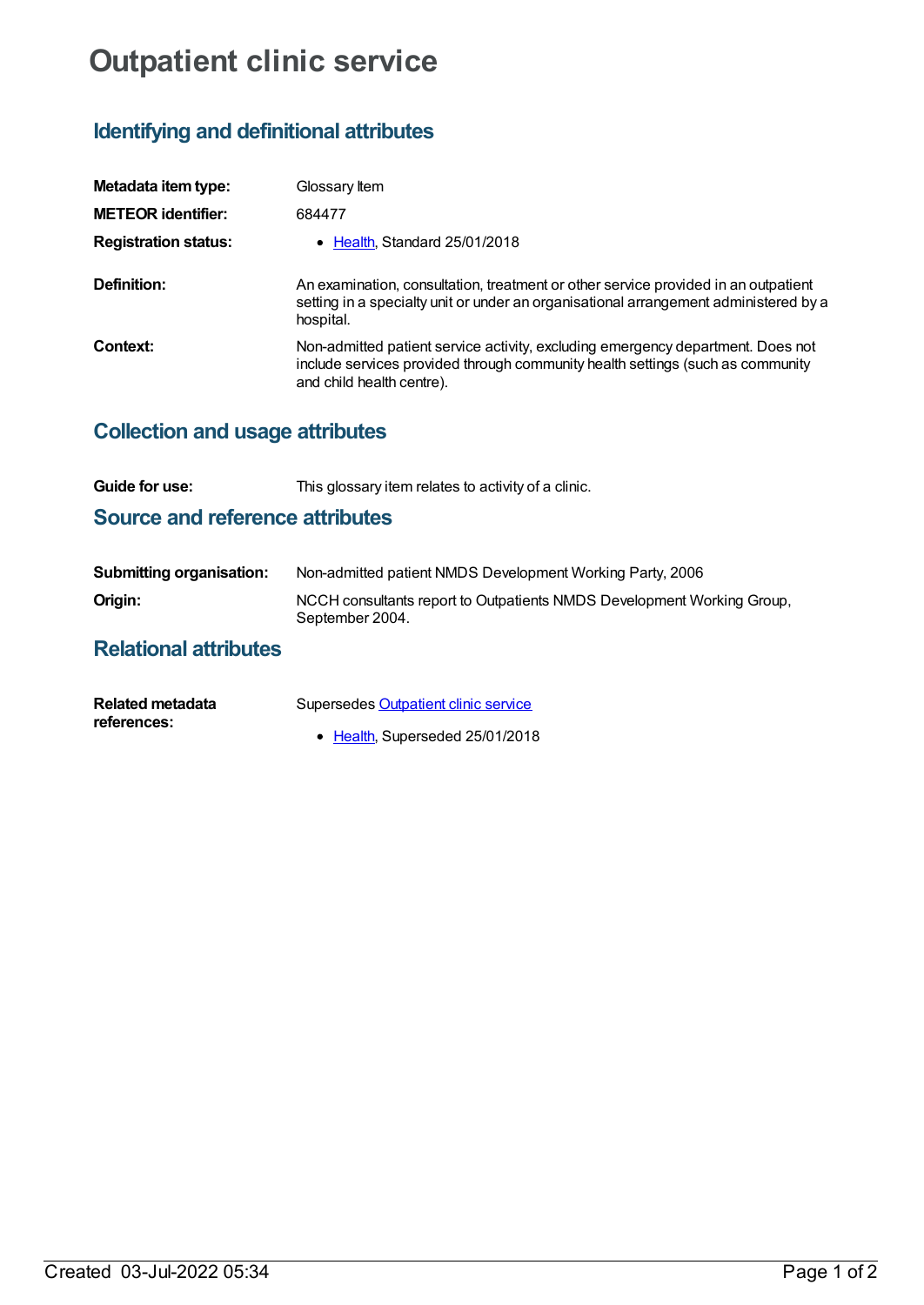# **Outpatient clinic service**

## **Identifying and definitional attributes**

| Metadata item type:         | Glossary Item                                                                                                                                                                                  |
|-----------------------------|------------------------------------------------------------------------------------------------------------------------------------------------------------------------------------------------|
| <b>METEOR identifier:</b>   | 684477                                                                                                                                                                                         |
| <b>Registration status:</b> | • Health Standard 25/01/2018                                                                                                                                                                   |
| Definition:                 | An examination, consultation, treatment or other service provided in an outpatient<br>setting in a specialty unit or under an organisational arrangement administered by a<br>hospital.        |
| Context:                    | Non-admitted patient service activity, excluding emergency department. Does not<br>include services provided through community health settings (such as community<br>and child health centre). |

## **Collection and usage attributes**

| <b>Guide for use:</b> | This glossary item relates to activity of a clinic. |  |
|-----------------------|-----------------------------------------------------|--|
|-----------------------|-----------------------------------------------------|--|

## **Source and reference attributes**

| <b>Submitting organisation:</b> | Non-admitted patient NMDS Development Working Party, 2006                                 |
|---------------------------------|-------------------------------------------------------------------------------------------|
| Origin:                         | NCCH consultants report to Outpatients NMDS Development Working Group,<br>September 2004. |
|                                 |                                                                                           |

## **Relational attributes**

| Related metadata | Supersedes Outpatient clinic service |
|------------------|--------------------------------------|
| references:      |                                      |
|                  | ● Health, Superseded 25/01/2018      |